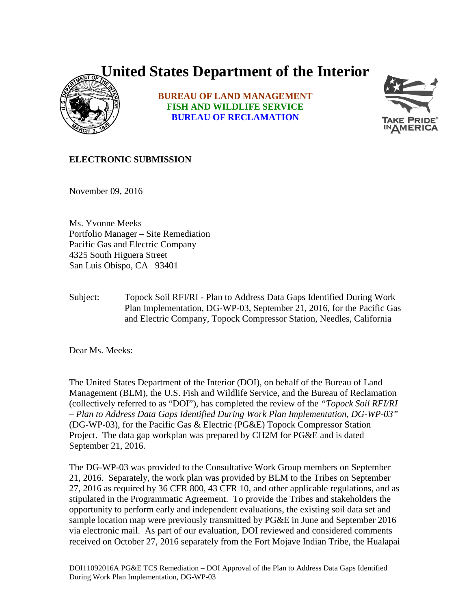## **United States Department of the Interior**



**BUREAU OF LAND MANAGEMENT FISH AND WILDLIFE SERVICE BUREAU OF RECLAMATION**



## **ELECTRONIC SUBMISSION**

November 09, 2016

Ms. Yvonne Meeks Portfolio Manager – Site Remediation Pacific Gas and Electric Company 4325 South Higuera Street San Luis Obispo, CA 93401

Subject: Topock Soil RFI/RI - Plan to Address Data Gaps Identified During Work Plan Implementation, DG-WP-03, September 21, 2016, for the Pacific Gas and Electric Company, Topock Compressor Station, Needles, California

Dear Ms. Meeks:

The United States Department of the Interior (DOI), on behalf of the Bureau of Land Management (BLM), the U.S. Fish and Wildlife Service, and the Bureau of Reclamation (collectively referred to as "DOI"), has completed the review of the *"Topock Soil RFI/RI – Plan to Address Data Gaps Identified During Work Plan Implementation, DG-WP-03"* (DG-WP-03), for the Pacific Gas & Electric (PG&E) Topock Compressor Station Project. The data gap workplan was prepared by CH2M for PG&E and is dated September 21, 2016.

The DG-WP-03 was provided to the Consultative Work Group members on September 21, 2016. Separately, the work plan was provided by BLM to the Tribes on September 27, 2016 as required by 36 CFR 800, 43 CFR 10, and other applicable regulations, and as stipulated in the Programmatic Agreement. To provide the Tribes and stakeholders the opportunity to perform early and independent evaluations, the existing soil data set and sample location map were previously transmitted by PG&E in June and September 2016 via electronic mail. As part of our evaluation, DOI reviewed and considered comments received on October 27, 2016 separately from the Fort Mojave Indian Tribe, the Hualapai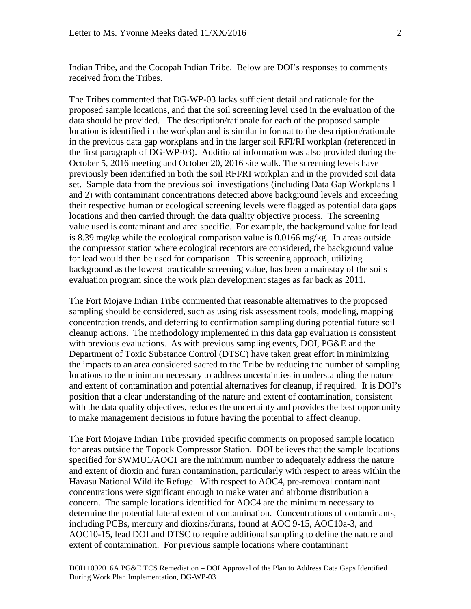Indian Tribe, and the Cocopah Indian Tribe. Below are DOI's responses to comments received from the Tribes.

The Tribes commented that DG-WP-03 lacks sufficient detail and rationale for the proposed sample locations, and that the soil screening level used in the evaluation of the data should be provided. The description/rationale for each of the proposed sample location is identified in the workplan and is similar in format to the description/rationale in the previous data gap workplans and in the larger soil RFI/RI workplan (referenced in the first paragraph of DG-WP-03). Additional information was also provided during the October 5, 2016 meeting and October 20, 2016 site walk. The screening levels have previously been identified in both the soil RFI/RI workplan and in the provided soil data set. Sample data from the previous soil investigations (including Data Gap Workplans 1 and 2) with contaminant concentrations detected above background levels and exceeding their respective human or ecological screening levels were flagged as potential data gaps locations and then carried through the data quality objective process. The screening value used is contaminant and area specific. For example, the background value for lead is 8.39 mg/kg while the ecological comparison value is 0.0166 mg/kg. In areas outside the compressor station where ecological receptors are considered, the background value for lead would then be used for comparison. This screening approach, utilizing background as the lowest practicable screening value, has been a mainstay of the soils evaluation program since the work plan development stages as far back as 2011.

The Fort Mojave Indian Tribe commented that reasonable alternatives to the proposed sampling should be considered, such as using risk assessment tools, modeling, mapping concentration trends, and deferring to confirmation sampling during potential future soil cleanup actions. The methodology implemented in this data gap evaluation is consistent with previous evaluations. As with previous sampling events, DOI, PG&E and the Department of Toxic Substance Control (DTSC) have taken great effort in minimizing the impacts to an area considered sacred to the Tribe by reducing the number of sampling locations to the minimum necessary to address uncertainties in understanding the nature and extent of contamination and potential alternatives for cleanup, if required. It is DOI's position that a clear understanding of the nature and extent of contamination, consistent with the data quality objectives, reduces the uncertainty and provides the best opportunity to make management decisions in future having the potential to affect cleanup.

The Fort Mojave Indian Tribe provided specific comments on proposed sample location for areas outside the Topock Compressor Station. DOI believes that the sample locations specified for SWMU1/AOC1 are the minimum number to adequately address the nature and extent of dioxin and furan contamination, particularly with respect to areas within the Havasu National Wildlife Refuge. With respect to AOC4, pre-removal contaminant concentrations were significant enough to make water and airborne distribution a concern. The sample locations identified for AOC4 are the minimum necessary to determine the potential lateral extent of contamination. Concentrations of contaminants, including PCBs, mercury and dioxins/furans, found at AOC 9-15, AOC10a-3, and AOC10-15, lead DOI and DTSC to require additional sampling to define the nature and extent of contamination. For previous sample locations where contaminant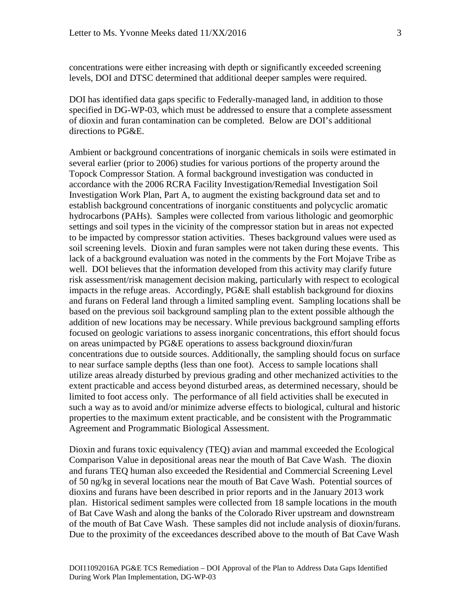concentrations were either increasing with depth or significantly exceeded screening levels, DOI and DTSC determined that additional deeper samples were required.

DOI has identified data gaps specific to Federally-managed land, in addition to those specified in DG-WP-03, which must be addressed to ensure that a complete assessment of dioxin and furan contamination can be completed. Below are DOI's additional directions to PG&E.

Ambient or background concentrations of inorganic chemicals in soils were estimated in several earlier (prior to 2006) studies for various portions of the property around the Topock Compressor Station. A formal background investigation was conducted in accordance with the 2006 RCRA Facility Investigation/Remedial Investigation Soil Investigation Work Plan, Part A, to augment the existing background data set and to establish background concentrations of inorganic constituents and polycyclic aromatic hydrocarbons (PAHs). Samples were collected from various lithologic and geomorphic settings and soil types in the vicinity of the compressor station but in areas not expected to be impacted by compressor station activities. Theses background values were used as soil screening levels. Dioxin and furan samples were not taken during these events. This lack of a background evaluation was noted in the comments by the Fort Mojave Tribe as well. DOI believes that the information developed from this activity may clarify future risk assessment/risk management decision making, particularly with respect to ecological impacts in the refuge areas. Accordingly, PG&E shall establish background for dioxins and furans on Federal land through a limited sampling event. Sampling locations shall be based on the previous soil background sampling plan to the extent possible although the addition of new locations may be necessary. While previous background sampling efforts focused on geologic variations to assess inorganic concentrations, this effort should focus on areas unimpacted by PG&E operations to assess background dioxin/furan concentrations due to outside sources. Additionally, the sampling should focus on surface to near surface sample depths (less than one foot). Access to sample locations shall utilize areas already disturbed by previous grading and other mechanized activities to the extent practicable and access beyond disturbed areas, as determined necessary, should be limited to foot access only. The performance of all field activities shall be executed in such a way as to avoid and/or minimize adverse effects to biological, cultural and historic properties to the maximum extent practicable, and be consistent with the Programmatic Agreement and Programmatic Biological Assessment.

Dioxin and furans toxic equivalency (TEQ) avian and mammal exceeded the Ecological Comparison Value in depositional areas near the mouth of Bat Cave Wash. The dioxin and furans TEQ human also exceeded the Residential and Commercial Screening Level of 50 ng/kg in several locations near the mouth of Bat Cave Wash. Potential sources of dioxins and furans have been described in prior reports and in the January 2013 work plan. Historical sediment samples were collected from 18 sample locations in the mouth of Bat Cave Wash and along the banks of the Colorado River upstream and downstream of the mouth of Bat Cave Wash. These samples did not include analysis of dioxin/furans. Due to the proximity of the exceedances described above to the mouth of Bat Cave Wash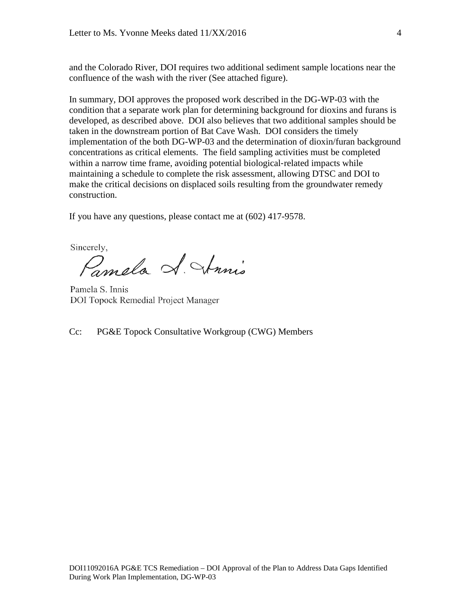and the Colorado River, DOI requires two additional sediment sample locations near the confluence of the wash with the river (See attached figure).

In summary, DOI approves the proposed work described in the DG-WP-03 with the condition that a separate work plan for determining background for dioxins and furans is developed, as described above. DOI also believes that two additional samples should be taken in the downstream portion of Bat Cave Wash. DOI considers the timely implementation of the both DG-WP-03 and the determination of dioxin/furan background concentrations as critical elements. The field sampling activities must be completed within a narrow time frame, avoiding potential biological-related impacts while maintaining a schedule to complete the risk assessment, allowing DTSC and DOI to make the critical decisions on displaced soils resulting from the groundwater remedy construction.

If you have any questions, please contact me at (602) 417-9578.

Sincerely,

Pamela A. Annis

Pamela S. Innis **DOI Topock Remedial Project Manager** 

Cc: PG&E Topock Consultative Workgroup (CWG) Members